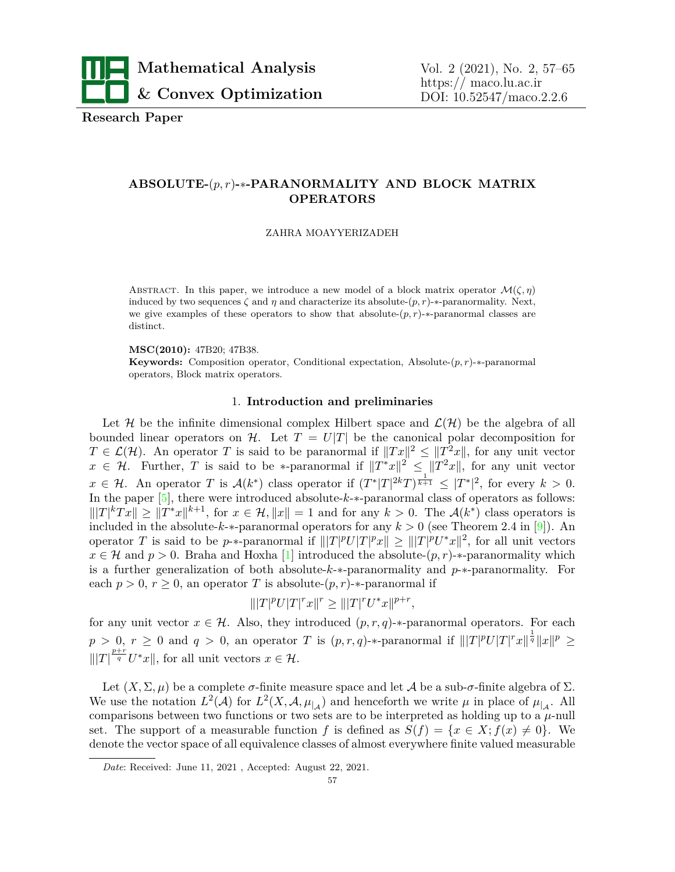

**Research Paper**

# **ABSOLUTE-**(*p, r*)**-***∗***-PARANORMALITY AND BLOCK MATRIX OPERATORS**

#### ZAHRA MOAYYERIZADEH

ABSTRACT. In this paper, we introduce a new model of a block matrix operator  $\mathcal{M}(\zeta,\eta)$ induced by two sequences  $\zeta$  and  $\eta$  and characterize its absolute- $(p, r)$ -*\**-paranormality. Next, we give examples of these operators to show that absolute-(*p, r*)-*∗*-paranormal classes are distinct.

## **MSC(2010):** 47B20; 47B38.

**Keywords:** Composition operator, Conditional expectation, Absolute-(*p, r*)-*∗*-paranormal operators, Block matrix operators.

# 1. **Introduction and preliminaries**

Let *H* be the infinite dimensional complex Hilbert space and  $\mathcal{L}(\mathcal{H})$  be the algebra of all bounded linear operators on *H*. Let  $T = U|T|$  be the canonical polar decomposition for  $T \in \mathcal{L}(\mathcal{H})$ . An operator *T* is said to be paranormal if  $||Tx||^2 \leq ||T^2x||$ , for any unit vector  $x \in \mathcal{H}$ . Further, *T* is said to be *\**-paranormal if  $||T^*x||^2 \le ||T^2x||$ , for any unit vector  $x \in \mathcal{H}$ . An operator T is  $\mathcal{A}(k^*)$  class operator if  $(T^*|T|^{2k}T)^{\frac{1}{k+1}} \leq |T^*|^2$ , for every  $k > 0$ . In the paper [\[5\]](#page-7-0), there were introduced absolute-*k*-*∗*-paranormal class of operators as follows:  $|||T|^k Tx|| \ge ||T^*x||^{k+1}$ , for  $x \in \mathcal{H}$ ,  $||x|| = 1$  and for any  $k > 0$ . The  $\mathcal{A}(k^*)$  class operators is included in the absolute-*k*-*\**-paranormal operators for any  $k > 0$  (see Theorem 2.4 in [\[9\]](#page-8-0)). An operator T is said to be p-\*-paranormal if  $|||T|^pU|T|^px|| \ge |||T|^pU^*x||^2$ , for all unit vectors *x* ∈ *H* and *p* > 0. Braha and Hoxha [[1](#page-7-1)] introduced the absolute- $(p, r)$ -*∗*-paranormality which is a further generalization of both absolute-*k*-*∗*-paranormality and *p*-*∗*-paranormality. For each  $p > 0$ ,  $r \geq 0$ , an operator *T* is absolute- $(p, r)$ - $*$ -paranormal if

$$
\| |T|^p U |T|^r x \|^r \ge \| |T|^r U^* x \|^{p+r},
$$

for any unit vector  $x \in \mathcal{H}$ . Also, they introduced  $(p, r, q)$ -*\**-paranormal operators. For each  $p > 0, r \ge 0$  and  $q > 0$ , an operator T is  $(p,r,q)$ -\*-paranormal if  $|||T|^pU|T|^rx||^{\frac{1}{q}}||x||^p \ge$  $|||T|^{p+r \over q} U^* x||$ , for all unit vectors  $x \in \mathcal{H}$ .

Let  $(X, \Sigma, \mu)$  be a complete  $\sigma$ -finite measure space and let A be a sub- $\sigma$ -finite algebra of  $\Sigma$ . We use the notation  $L^2(\mathcal{A})$  for  $L^2(X, \mathcal{A}, \mu_{|\mathcal{A}})$  and henceforth we write  $\mu$  in place of  $\mu_{|\mathcal{A}}$ . All comparisons between two functions or two sets are to be interpreted as holding up to a  $\mu$ -null set. The support of a measurable function *f* is defined as  $S(f) = \{x \in X; f(x) \neq 0\}$ . We denote the vector space of all equivalence classes of almost everywhere finite valued measurable

*Date*: Received: June 11, 2021 , Accepted: August 22, 2021.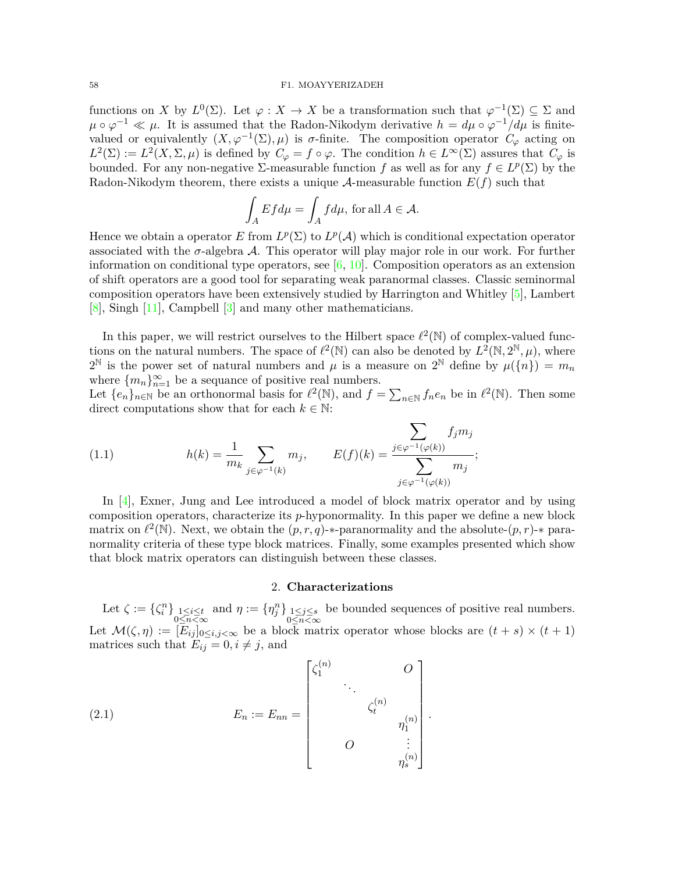## 58 F1. MOAYYERIZADEH

functions on *X* by  $L^0(\Sigma)$ . Let  $\varphi: X \to X$  be a transformation such that  $\varphi^{-1}(\Sigma) \subseteq \Sigma$  and  $\mu \circ \varphi^{-1} \ll \mu$ . It is assumed that the Radon-Nikodym derivative  $h = d\mu \circ \varphi^{-1}/d\mu$  is finitevalued or equivalently  $(X, \varphi^{-1}(\Sigma), \mu)$  is *σ*-finite. The composition operator  $C_{\varphi}$  acting on  $L^2(\Sigma) := L^2(X, \Sigma, \mu)$  is defined by  $C_\varphi = f \circ \varphi$ . The condition  $h \in L^\infty(\Sigma)$  assures that  $C_\varphi$  is bounded. For any non-negative  $\Sigma$ -measurable function *f* as well as for any  $f \in L^p(\Sigma)$  by the Radon-Nikodym theorem, there exists a unique  $A$ -measurable function  $E(f)$  such that

$$
\int_{A} Ef d\mu = \int_{A} f d\mu, \text{ for all } A \in \mathcal{A}.
$$

Hence we obtain a operator *E* from  $L^p(\Sigma)$  to  $L^p(\mathcal{A})$  which is conditional expectation operator associated with the  $\sigma$ -algebra  $\mathcal A$ . This operator will play major role in our work. For further information on conditional type operators, see  $[6, 10]$  $[6, 10]$ . Composition operators as an extension of shift operators are a good tool for separating weak paranormal classes. Classic seminormal composition operators have been extensively studied by Harrington and Whitley [[5\]](#page-7-0), Lambert [\[8](#page-8-2)], Singh [[11](#page-8-3)], Campbell [[3](#page-7-3)] and many other mathematicians.

In this paper, we will restrict ourselves to the Hilbert space  $\ell^2(\mathbb{N})$  of complex-valued functions on the natural numbers. The space of  $\ell^2(\mathbb{N})$  can also be denoted by  $L^2(\mathbb{N}, 2^{\mathbb{N}}, \mu)$ , where  $2^{\mathbb{N}}$  is the power set of natural numbers and  $\mu$  is a measure on  $2^{\mathbb{N}}$  define by  $\mu({n}) = m_n$ where  ${m_n}_{n=1}^{\infty}$  be a sequance of positive real numbers.

Let  $\{e_n\}_{n\in\mathbb{N}}$  be an orthonormal basis for  $\ell^2(\mathbb{N})$ , and  $f = \sum_{n\in\mathbb{N}} f_n e_n$  be in  $\ell^2(\mathbb{N})$ . Then some direct computations show that for each  $k \in \mathbb{N}$ :

(1.1) 
$$
h(k) = \frac{1}{m_k} \sum_{j \in \varphi^{-1}(k)} m_j, \qquad E(f)(k) = \frac{\sum_{j \in \varphi^{-1}(\varphi(k))}}{\sum_{j \in \varphi^{-1}(\varphi(k))}} m_j;
$$

In [[4](#page-7-4)], Exner, Jung and Lee introduced a model of block matrix operator and by using composition operators, characterize its *p*-hyponormality. In this paper we define a new block matrix on  $\ell^2(\mathbb{N})$ . Next, we obtain the  $(p, r, q)$ -*\**-paranormality and the absolute- $(p, r)$ -*\** paranormality criteria of these type block matrices. Finally, some examples presented which show that block matrix operators can distinguish between these classes.

## 2. **Characterizations**

Let  $\zeta := \{\zeta_i^n\}_{\substack{1 \leq i \leq t \\ 0 \leq n < \infty}}$ and  $\eta := {\eta_j^n}_{\substack{1 \le j \le s \\ 0 \le n < \infty}}$ be bounded sequences of positive real numbers. Let  $\mathcal{M}(\zeta,\eta) := [E_{ij}]_{0 \le i,j < \infty}$  be a block matrix operator whose blocks are  $(t+s) \times (t+1)$ matrices such that  $E_{ij} = 0, i \neq j$ , and

<span id="page-1-0"></span>(2.1) 
$$
E_{n} := E_{nn} = \begin{bmatrix} \zeta_{1}^{(n)} & & O \\ & \ddots & \\ & & \zeta_{t}^{(n)} \\ & & & \eta_{1}^{(n)} \\ & & & & \vdots \\ & & & & \eta_{s}^{(n)} \end{bmatrix}.
$$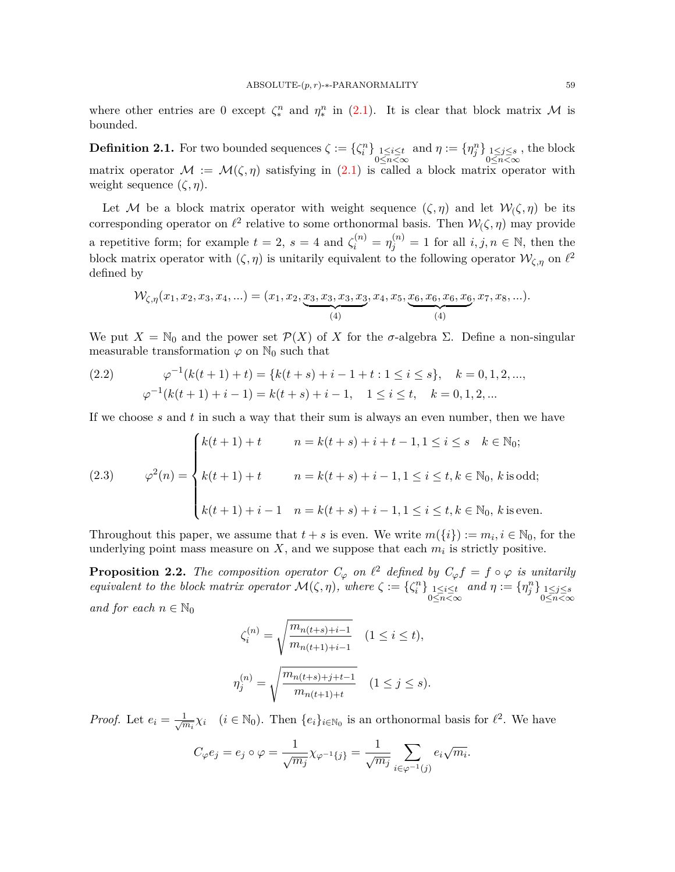where other entries are 0 except  $\zeta_*^n$  and  $\eta_*^n$  in [\(2.1](#page-1-0)). It is clear that block matrix *M* is bounded.

**Definition 2.1.** For two bounded sequences  $\zeta := \{\zeta_i^n\}_{\substack{1 \leq i \leq t \ 0 \leq n \leq \infty}}$ and  $\eta := {\eta_j^n}_{\substack{1 \le j \le s \\ 0 \le n < \infty}}$ , the block matrix operator  $\mathcal{M} := \mathcal{M}(\zeta, \eta)$  satisfying in  $(2.1)$  $(2.1)$  is called a block matrix operator with weight sequence  $(\zeta, \eta)$ .

Let *M* be a block matrix operator with weight sequence  $(\zeta, \eta)$  and let  $\mathcal{W}_\zeta(\zeta, \eta)$  be its corresponding operator on  $\ell^2$  relative to some orthonormal basis. Then  $\mathcal{W}(\zeta,\eta)$  may provide a repetitive form; for example  $t = 2$ ,  $s = 4$  and  $\zeta_i^{(n)} = \eta_j^{(n)} = 1$  for all  $i, j, n \in \mathbb{N}$ , then the block matrix operator with  $(\zeta, \eta)$  is unitarily equivalent to the following operator  $\mathcal{W}_{\zeta,\eta}$  on  $\ell^2$ defined by

$$
\mathcal{W}_{\zeta,\eta}(x_1,x_2,x_3,x_4,\ldots)=(x_1,x_2,\underbrace{x_3,x_3,x_3,x_3,x_4,x_5,\underbrace{x_6,x_6,x_6,x_6,x_7,x_8,\ldots}_{(4)}).
$$

We put  $X = \mathbb{N}_0$  and the power set  $\mathcal{P}(X)$  of X for the *σ*-algebra  $\Sigma$ . Define a non-singular measurable transformation  $\varphi$  on  $\mathbb{N}_0$  such that

<span id="page-2-0"></span>(2.2) 
$$
\varphi^{-1}(k(t+1)+t) = \{k(t+s)+i-1+t: 1 \le i \le s\}, \quad k = 0, 1, 2, ...,
$$

$$
\varphi^{-1}(k(t+1)+i-1) = k(t+s)+i-1, \quad 1 \le i \le t, \quad k = 0, 1, 2, ...
$$

If we choose *s* and *t* in such a way that their sum is always an even number, then we have

<span id="page-2-1"></span>(2.3) 
$$
\varphi^{2}(n) = \begin{cases} k(t+1) + t & n = k(t+s) + i + t - 1, 1 \leq i \leq s & k \in \mathbb{N}_{0}; \\ k(t+1) + t & n = k(t+s) + i - 1, 1 \leq i \leq t, k \in \mathbb{N}_{0}, k \text{ is odd}; \\ k(t+1) + i - 1 & n = k(t+s) + i - 1, 1 \leq i \leq t, k \in \mathbb{N}_{0}, k \text{ is even}. \end{cases}
$$

Throughout this paper, we assume that  $t + s$  is even. We write  $m({i}) := m_i, i \in \mathbb{N}_0$ , for the underlying point mass measure on  $X$ , and we suppose that each  $m_i$  is strictly positive.

**Proposition 2.2.** The composition operator  $C_\varphi$  on  $\ell^2$  defined by  $C_\varphi f = f \circ \varphi$  is unitarily *equivalent to the block matrix operator*  $\mathcal{M}(\zeta, \eta)$ *, where*  $\zeta := \{\zeta_i^n\}_{\substack{1 \leq i \leq t \\ 0 \leq n \leq \infty}}$  $and \eta := {\eta_j^n}_{0 \leq n < \infty}$ *and for each*  $n \in \mathbb{N}_0$ 

$$
\zeta_i^{(n)} = \sqrt{\frac{m_{n(t+s)+i-1}}{m_{n(t+1)+i-1}}} \quad (1 \le i \le t),
$$
  

$$
\eta_j^{(n)} = \sqrt{\frac{m_{n(t+s)+j+t-1}}{m_{n(t+1)+t}}} \quad (1 \le j \le s).
$$

*Proof.* Let  $e_i = \frac{1}{\sqrt{n}}$  $\frac{1}{m_i}\chi_i$  (*i*  $\in$  N<sub>0</sub>). Then  $\{e_i\}_{i\in\mathbb{N}_0}$  is an orthonormal basis for  $\ell^2$ . We have

$$
C_{\varphi}e_j = e_j \circ \varphi = \frac{1}{\sqrt{m_j}} \chi_{\varphi^{-1}\{j\}} = \frac{1}{\sqrt{m_j}} \sum_{i \in \varphi^{-1}(j)} e_i \sqrt{m_i}.
$$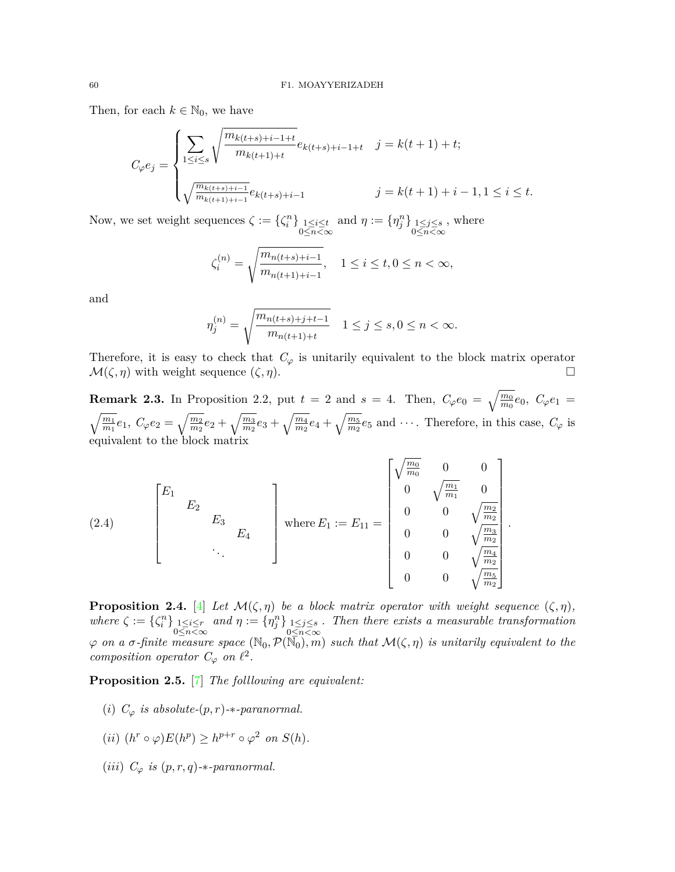Then, for each  $k \in \mathbb{N}_0$ , we have

$$
C_{\varphi}e_{j} = \begin{cases} \sum_{1 \leq i \leq s} \sqrt{\frac{m_{k(t+s)+i-1+t}}{m_{k(t+1)+t}}} e_{k(t+s)+i-1+t} & j = k(t+1)+t; \\ \\ \sqrt{\frac{m_{k(t+s)+i-1}}{m_{k(t+1)+i-1}}} e_{k(t+s)+i-1} & j = k(t+1)+i-1, 1 \leq i \leq t. \end{cases}
$$

Now, we set weight sequences  $\zeta := {\zeta_i^n}_{\substack{1 \le i \le t \\ 0 \le n < \infty}}$ and  $\eta := {\eta_j^n}_{\substack{1 \le j \le s \\ 0 \le n < \infty}}$ , where

$$
\zeta_i^{(n)} = \sqrt{\frac{m_{n(t+s)+i-1}}{m_{n(t+1)+i-1}}}, \quad 1 \le i \le t, 0 \le n < \infty,
$$

and

$$
\eta_j^{(n)} = \sqrt{\frac{m_{n(t+s)+j+t-1}}{m_{n(t+1)+t}}} \quad 1 \le j \le s, 0 \le n < \infty.
$$

Therefore, it is easy to check that  $C_{\varphi}$  is unitarily equivalent to the block matrix operator  $\mathcal{M}(\zeta,\eta)$  with weight sequence  $(\zeta,\eta)$ .

**Remark 2.3.** In Proposition 2.2, put  $t = 2$  and  $s = 4$ . Then,  $C_{\varphi}e_0 = \sqrt{\frac{m_0}{m_0}}e_0$ ,  $C_{\varphi}e_1 =$  $\sqrt{\frac{m_1}{m_1}}e_1, C_{\varphi}e_2 = \sqrt{\frac{m_2}{m_2}}e_2 + \sqrt{\frac{m_3}{m_2}}e_3 + \sqrt{\frac{m_4}{m_2}}e_4 + \sqrt{\frac{m_5}{m_2}}e_5$  and  $\cdots$ . Therefore, in this case,  $C_{\varphi}$  is equivalent to the block matrix

(2.4) 
$$
\begin{bmatrix} E_1 & & & \\ & E_2 & & \\ & & E_3 & \\ & & & \ddots \end{bmatrix} \text{ where } E_1 := E_{11} = \begin{bmatrix} \sqrt{\frac{m_0}{m_0}} & 0 & 0 \\ 0 & \sqrt{\frac{m_1}{m_1}} & 0 \\ 0 & 0 & \sqrt{\frac{m_2}{m_2}} \\ 0 & 0 & \sqrt{\frac{m_3}{m_2}} \\ 0 & 0 & \sqrt{\frac{m_4}{m_2}} \\ 0 & 0 & \sqrt{\frac{m_5}{m_2}} \end{bmatrix}.
$$

**Proposition 2.4.** [\[4\]](#page-7-4) *Let*  $\mathcal{M}(\zeta, \eta)$  *be a block matrix operator with weight sequence*  $(\zeta, \eta)$ *,*  $where \zeta := {\zeta_i^n}_{\substack{1 \le i \le r \\ 0 \le n < \infty}}$  $and \eta := {\eta_j^n}_{0 \leq n < \infty}$ *. Then there exists a measurable transformation*  $\varphi$  *on a σ*-finite measure space ( $\mathbb{N}_0$ *,*  $\mathcal{P}(\mathbb{N}_0)$ *, m*) *such that*  $\mathcal{M}(\zeta, \eta)$  *is unitarily equivalent to the composition operator*  $C_{\varphi}$  *on*  $\ell^2$ *.* 

**Proposition 2.5.** [\[7\]](#page-8-4) *The folllowing are equivalent:*

(*i*)  $C_{\varphi}$  *is absolute-*( $p, r$ )-*\**-paranormal.

$$
(ii) (h^r \circ \varphi) E(h^p) \ge h^{p+r} \circ \varphi^2 \text{ on } S(h).
$$

(*iii*)  $C_{\varphi}$  *is*  $(p, r, q)$ -*\**-paranormal.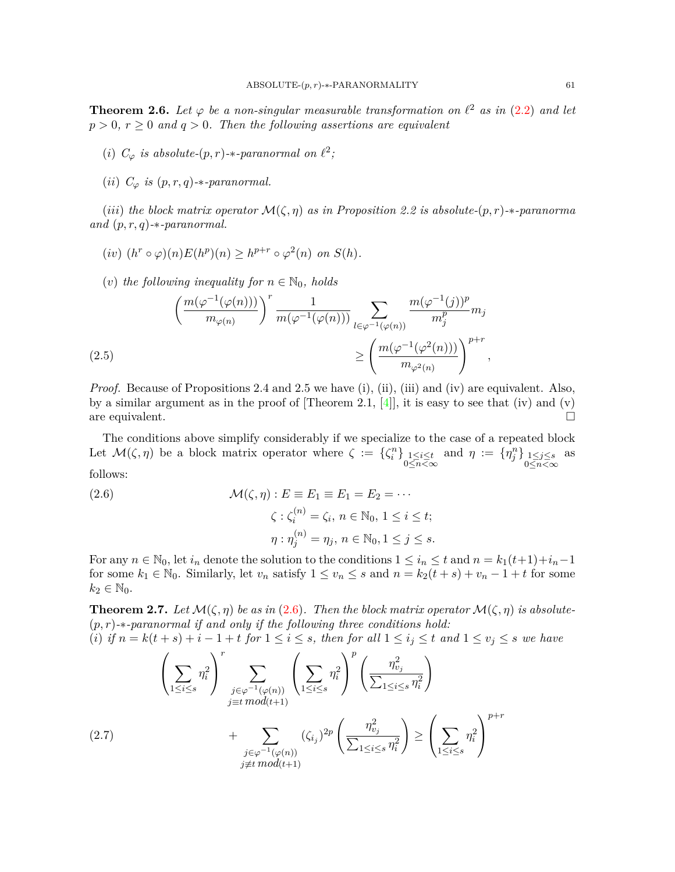**Theorem 2.6.** Let  $\varphi$  be a non-singular measurable transformation on  $\ell^2$  as in [\(2.2](#page-2-0)) and let  $p > 0$ ,  $r \geq 0$  and  $q > 0$ . Then the following assertions are equivalent

(*i*)  $C_{\varphi}$  *is absolute-* $(p, r)$ -*\*-paranormal on*  $\ell^2$ ;

(*ii*)  $C_{\varphi}$  *is*  $(p, r, q)$ -*\**-paranormal.

(*iii*) the block matrix operator  $\mathcal{M}(\zeta, \eta)$  as in Proposition 2.2 is absolute- $(p, r)$ -*\**-paranorma *and* (*p, r, q*)*-∗-paranormal.*

 $(iv)$   $(h^r \circ \varphi)(n)E(h^p)(n) \geq h^{p+r} \circ \varphi^2(n)$  *on*  $S(h)$ *.* 

(*v*) the following inequality for  $n \in \mathbb{N}_0$ , holds

$$
\left(\frac{m(\varphi^{-1}(\varphi(n)))}{m_{\varphi(n)}}\right)^{r} \frac{1}{m(\varphi^{-1}(\varphi(n)))} \sum_{l \in \varphi^{-1}(\varphi(n))} \frac{m(\varphi^{-1}(j))^{p}}{m_{j}^{p}} m_{j}
$$
\n
$$
\geq \left(\frac{m(\varphi^{-1}(\varphi^{2}(n)))}{m_{\varphi^{2}(n)}}\right)^{p+r},
$$
\n(2.5)

<span id="page-4-1"></span>*Proof.* Because of Propositions 2.4 and 2.5 we have (i), (ii), (iii) and (iv) are equivalent. Also, by a similar argument as in the proof of  $[Theorem 2.1, 4]$  $[Theorem 2.1, 4]$  $[Theorem 2.1, 4]$ , it is easy to see that (iv) and (v) are equivalent.  $\Box$ 

The conditions above simplify considerably if we specialize to the case of a repeated block Let  $\mathcal{M}(\zeta, \eta)$  be a block matrix operator where  $\zeta := \{\zeta_i^n\}_{\substack{1 \leq i \leq t \\ 0 \leq n < \infty}}$ and  $\eta := {\eta_j^n}_{0 \leq n < \infty}$ as follows:

<span id="page-4-0"></span>(2.6)  
\n
$$
\mathcal{M}(\zeta, \eta) : E \equiv E_1 \equiv E_1 = E_2 = \cdots
$$
\n
$$
\zeta : \zeta_i^{(n)} = \zeta_i, n \in \mathbb{N}_0, 1 \le i \le t;
$$
\n
$$
\eta : \eta_j^{(n)} = \eta_j, n \in \mathbb{N}_0, 1 \le j \le s.
$$

For any  $n \in \mathbb{N}_0$ , let  $i_n$  denote the solution to the conditions  $1 \leq i_n \leq t$  and  $n = k_1(t+1)+i_n-1$ for some  $k_1 \in \mathbb{N}_0$ . Similarly, let  $v_n$  satisfy  $1 \le v_n \le s$  and  $n = k_2(t + s) + v_n - 1 + t$  for some  $k_2 \in \mathbb{N}_0$ .

**Theorem 2.7.** Let  $\mathcal{M}(\zeta, \eta)$  be as in ([2.6\)](#page-4-0). Then the block matrix operator  $\mathcal{M}(\zeta, \eta)$  is absolute-(*p, r*)*-∗-paranormal if and only if the following three conditions hold:*

(i) if  $n = k(t + s) + i - 1 + t$  for  $1 \le i \le s$ , then for all  $1 \le i_j \le t$  and  $1 \le v_j \le s$  we have

<span id="page-4-2"></span>
$$
\left(\sum_{1\leq i\leq s} \eta_i^2\right)^r \sum_{\substack{j\in\varphi^{-1}(\varphi(n))\\j\equiv t \mod(t+1)}} \left(\sum_{1\leq i\leq s} \eta_i^2\right)^p \left(\frac{\eta_{v_j}^2}{\sum_{1\leq i\leq s} \eta_i^2}\right)
$$
\n
$$
+ \sum_{\substack{j\in\varphi^{-1}(\varphi(n))\\j\not\equiv t \mod(t+1)}} (\zeta_{i_j})^{2p} \left(\frac{\eta_{v_j}^2}{\sum_{1\leq i\leq s} \eta_i^2}\right) \geq \left(\sum_{1\leq i\leq s} \eta_i^2\right)^{p+r}
$$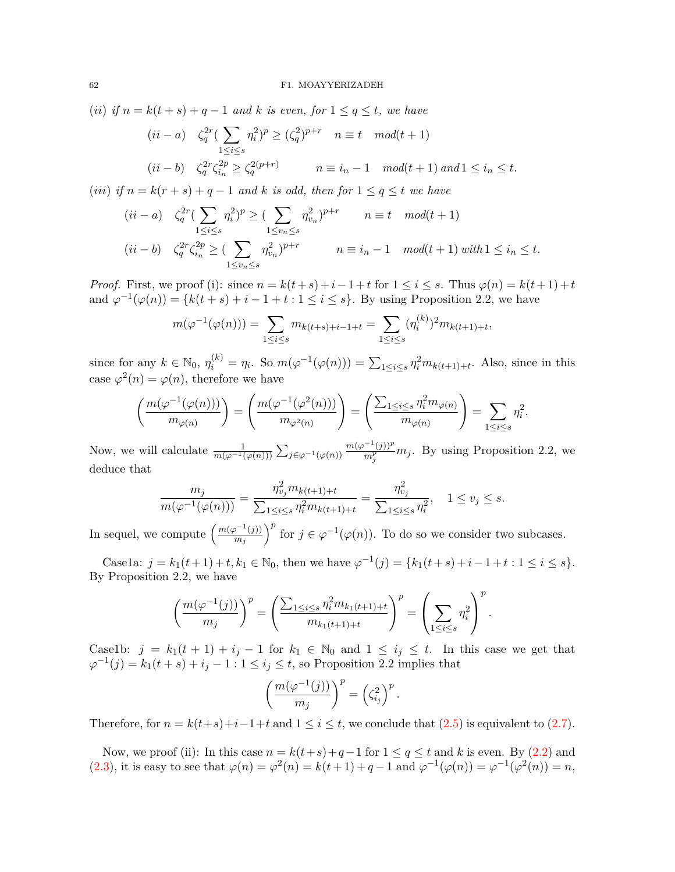(*ii*) *if*  $n = k(t + s) + q - 1$  *and*  $k$  *is even, for*  $1 \leq q \leq t$ *, we have* 

$$
(ii - a) \quad \zeta_q^{2r} \left( \sum_{1 \le i \le s} \eta_i^2 \right)^p \ge \left( \zeta_q^2 \right)^{p+r} \quad n \equiv t \mod(t+1)
$$
\n
$$
(ii - b) \quad \zeta_q^{2r} \zeta_{i_n}^{2p} \ge \zeta_q^{2(p+r)} \qquad n \equiv i_n - 1 \mod(t+1) \text{ and } 1 \le i_n \le t.
$$

(*iii*) *if*  $n = k(r + s) + q - 1$  *and*  $k$  *is odd, then for*  $1 \leq q \leq t$  *we have* 

$$
(ii - a) \quad \zeta_q^{2r} \left( \sum_{1 \le i \le s} \eta_i^2 \right)^p \ge \left( \sum_{1 \le v_n \le s} \eta_{v_n}^2 \right)^{p+r} \qquad n \equiv t \mod(t+1)
$$
\n
$$
(ii - b) \quad \zeta_q^{2r} \zeta_{i_n}^{2p} \ge \left( \sum_{1 \le v_n \le s} \eta_{v_n}^2 \right)^{p+r} \qquad n \equiv i_n - 1 \mod(t+1) \text{ with } 1 \le i_n \le t.
$$

*Proof.* First, we proof (i): since  $n = k(t+s) + i-1+t$  for  $1 \leq i \leq s$ . Thus  $\varphi(n) = k(t+1) + t$ and  $\varphi^{-1}(\varphi(n)) = \{k(t+s) + i - 1 + t : 1 \le i \le s\}$ . By using Proposition 2.2, we have

$$
m(\varphi^{-1}(\varphi(n))) = \sum_{1 \le i \le s} m_{k(t+s)+i-1+t} = \sum_{1 \le i \le s} (\eta_i^{(k)})^2 m_{k(t+1)+t},
$$

since for any  $k \in \mathbb{N}_0$ ,  $\eta_i^{(k)} = \eta_i$ . So  $m(\varphi^{-1}(\varphi(n))) = \sum_{1 \leq i \leq s} \eta_i^2 m_{k(t+1)+t}$ . Also, since in this case  $\varphi^2(n) = \varphi(n)$ , therefore we have

$$
\left(\frac{m(\varphi^{-1}(\varphi(n)))}{m_{\varphi(n)}}\right) = \left(\frac{m(\varphi^{-1}(\varphi^2(n)))}{m_{\varphi^2(n)}}\right) = \left(\frac{\sum_{1 \leq i \leq s} \eta_i^2 m_{\varphi(n)}}{m_{\varphi(n)}}\right) = \sum_{1 \leq i \leq s} \eta_i^2.
$$

Now, we will calculate  $\frac{1}{m(\varphi^{-1}(\varphi(n)))} \sum_{j \in \varphi^{-1}(\varphi(n))}$  $m(\varphi^{-1}(j))^p$  $\frac{f'(j))^{p}}{m_{j}^{p}}$  *m<sub>j</sub>*. By using Proposition 2.2, we deduce that

$$
\frac{m_j}{m(\varphi^{-1}(\varphi(n)))} = \frac{\eta_{v_j}^2 m_{k(t+1)+t}}{\sum_{1 \le i \le s} \eta_i^2 m_{k(t+1)+t}} = \frac{\eta_{v_j}^2}{\sum_{1 \le i \le s} \eta_i^2}, \quad 1 \le v_j \le s.
$$

In sequel, we compute  $\left(\frac{m(\varphi^{-1}(j))}{m}\right)$  $\left(\frac{p-1(j)}{m_j}\right)^p$  for  $j \in \varphi^{-1}(\varphi(n))$ . To do so we consider two subcases.

Case1a:  $j = k_1(t+1) + t, k_1 \in \mathbb{N}_0$ , then we have  $\varphi^{-1}(j) = \{k_1(t+s) + i - 1 + t : 1 \le i \le s\}.$ By Proposition 2.2, we have

$$
\left(\frac{m(\varphi^{-1}(j))}{m_j}\right)^p = \left(\frac{\sum_{1 \le i \le s} \eta_i^2 m_{k_1(t+1)+t}}{m_{k_1(t+1)+t}}\right)^p = \left(\sum_{1 \le i \le s} \eta_i^2\right)^p.
$$

Case1b:  $j = k_1(t+1) + i_j - 1$  for  $k_1 \in \mathbb{N}_0$  and  $1 \leq i_j \leq t$ . In this case we get that  $\varphi^{-1}(j) = k_1(t + s) + i_j - 1 : 1 \leq i_j \leq t$ , so Proposition 2.2 implies that

$$
\left(\frac{m(\varphi^{-1}(j))}{m_j}\right)^p=\left(\zeta_{i_j}^2\right)^p.
$$

Therefore, for  $n = k(t+s)+i-1+t$  and  $1 \leq i \leq t$ , we conclude that  $(2.5)$  $(2.5)$  is equivalent to  $(2.7)$  $(2.7)$ .

Now, we proof (ii): In this case  $n = k(t+s) + q-1$  for  $1 \le q \le t$  and *k* is even. By [\(2.2](#page-2-0)) and [\(2.3](#page-2-1)), it is easy to see that  $\varphi(n) = \varphi^2(n) = k(t+1) + q - 1$  and  $\varphi^{-1}(\varphi(n)) = \varphi^{-1}(\varphi^2(n)) = n$ ,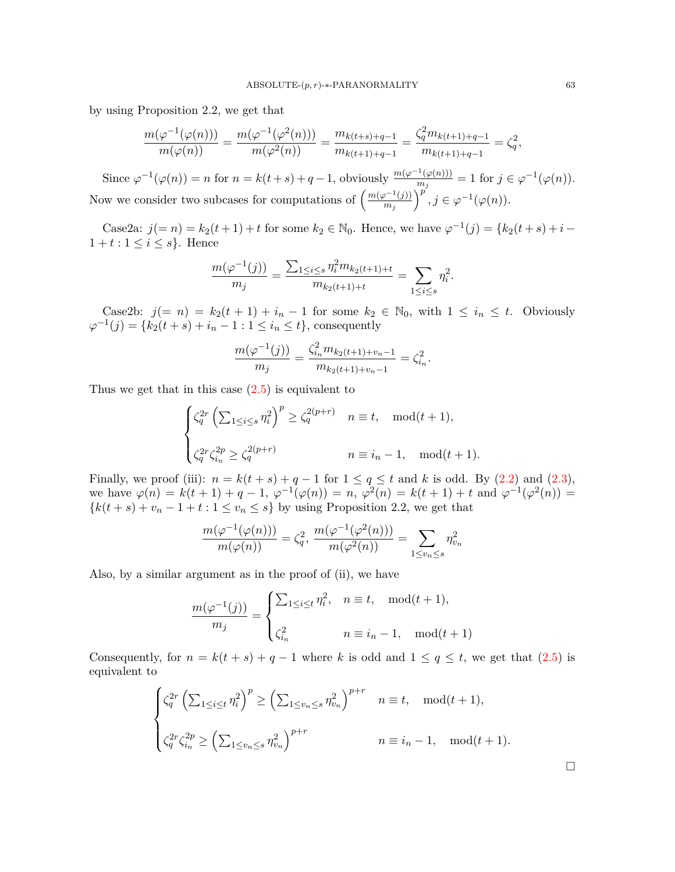by using Proposition 2.2, we get that

$$
\frac{m(\varphi^{-1}(\varphi(n)))}{m(\varphi(n))} = \frac{m(\varphi^{-1}(\varphi^{2}(n)))}{m(\varphi^{2}(n))} = \frac{m_{k(t+s)+q-1}}{m_{k(t+1)+q-1}} = \frac{\zeta_q^2 m_{k(t+1)+q-1}}{m_{k(t+1)+q-1}} = \zeta_q^2,
$$

Since  $\varphi^{-1}(\varphi(n)) = n$  for  $n = k(t+s) + q-1$ , obviously  $\frac{m(\varphi^{-1}(\varphi(n)))}{m}$  $\frac{f'(p(n))}{m_j} = 1$  for  $j \in \varphi^{-1}(\varphi(n)).$ Now we consider two subcases for computations of  $\left(\frac{m(\varphi^{-1}(j))}{m}\right)$  $\left(\frac{p^{-1}(j)}{m_j}\right)^{p'}$ ,  $j \in \varphi^{-1}(\varphi(n)).$ 

Case2a:  $j(= n) = k_2(t+1) + t$  for some  $k_2 \in \mathbb{N}_0$ . Hence, we have  $\varphi^{-1}(j) = \{k_2(t+s) + i 1 + t : 1 \leq i \leq s$ . Hence

$$
\frac{m(\varphi^{-1}(j))}{m_j} = \frac{\sum_{1 \le i \le s} \eta_i^2 m_{k_2(t+1)+t}}{m_{k_2(t+1)+t}} = \sum_{1 \le i \le s} \eta_i^2.
$$

Case2b:  $j(= n) = k_2(t + 1) + i_n - 1$  for some  $k_2 \in \mathbb{N}_0$ , with  $1 \leq i_n \leq t$ . Obviously  $\varphi^{-1}(j) = \{k_2(t + s) + i_n - 1 : 1 \le i_n \le t\}$ , consequently

$$
\frac{m(\varphi^{-1}(j))}{m_j} = \frac{\zeta_{i_n}^2 m_{k_2(t+1)+v_n-1}}{m_{k_2(t+1)+v_n-1}} = \zeta_{i_n}^2.
$$

Thus we get that in this case  $(2.5)$  $(2.5)$  is equivalent to

$$
\begin{cases} \zeta_q^{2r} \left( \sum_{1 \le i \le s} \eta_i^2 \right)^p \ge \zeta_q^{2(p+r)} & n \equiv t, \mod(t+1), \\ \\ \zeta_q^{2r} \zeta_{i_n}^{2p} \ge \zeta_q^{2(p+r)} & n \equiv i_n - 1, \mod(t+1). \end{cases}
$$

Finally, we proof (iii):  $n = k(t + s) + q - 1$  for  $1 \le q \le t$  and *k* is odd. By ([2.2\)](#page-2-0) and ([2.3\)](#page-2-1), we have  $\varphi(n) = k(t+1) + q - 1$ ,  $\varphi^{-1}(\varphi(n)) = n$ ,  $\varphi^{2}(n) = k(t+1) + t$  and  $\varphi^{-1}(\varphi^{2}(n)) =$  ${k(t + s) + v_n - 1 + t : 1 \le v_n \le s}$  by using Proposition 2.2, we get that

$$
\frac{m(\varphi^{-1}(\varphi(n)))}{m(\varphi(n))} = \zeta_q^2, \ \frac{m(\varphi^{-1}(\varphi^2(n)))}{m(\varphi^2(n))} = \sum_{1 \le v_n \le s} \eta_{v_n}^2
$$

Also, by a similar argument as in the proof of (ii), we have

$$
\frac{m(\varphi^{-1}(j))}{m_j} = \begin{cases} \sum_{1 \le i \le t} \eta_i^2, & n \equiv t, \mod(t+1), \\ \zeta_{i_n}^2 & n \equiv i_n - 1, \mod(t+1) \end{cases}
$$

Consequently, for  $n = k(t + s) + q - 1$  where *k* is odd and  $1 \le q \le t$ , we get that [\(2.5](#page-4-1)) is equivalent to

$$
\begin{cases} \zeta_q^{2r} \left( \sum_{1 \le i \le t} \eta_i^2 \right)^p \ge \left( \sum_{1 \le v_n \le s} \eta_{v_n}^2 \right)^{p+r} & n \equiv t, \mod(t+1), \\ \zeta_q^{2r} \zeta_{i_n}^{2p} \ge \left( \sum_{1 \le v_n \le s} \eta_{v_n}^2 \right)^{p+r} & n \equiv i_n - 1, \mod(t+1). \end{cases}
$$

□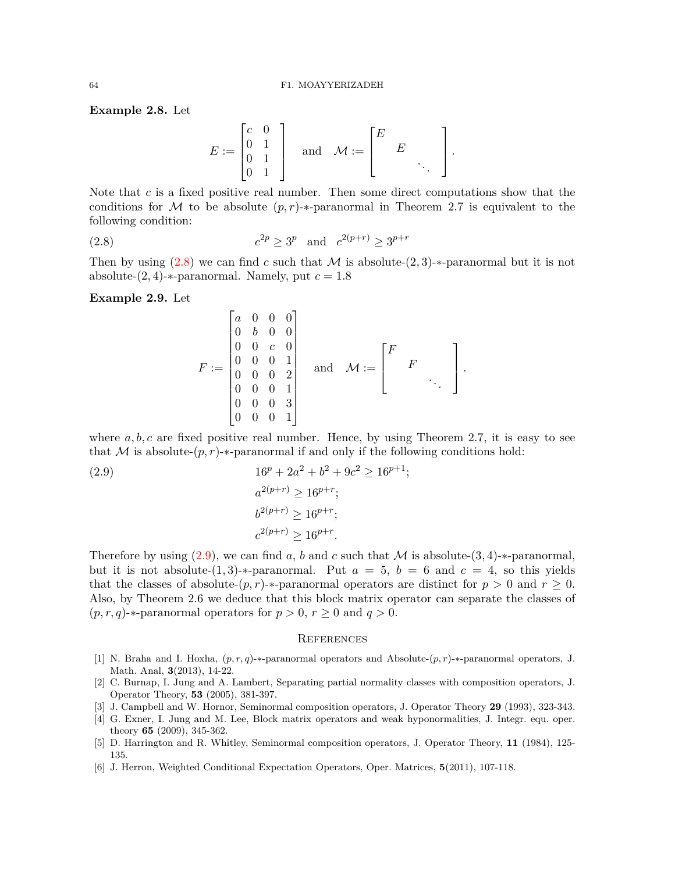**Example 2.8.** Let

$$
E := \begin{bmatrix} c & 0 \\ 0 & 1 \\ 0 & 1 \\ 0 & 1 \end{bmatrix} \quad \text{and} \quad \mathcal{M} := \begin{bmatrix} E \\ E \\ \vdots \\ \vdots \end{bmatrix}.
$$

Note that *c* is a fixed positive real number. Then some direct computations show that the conditions for *M* to be absolute  $(p, r)$ -*∗*-paranormal in Theorem 2.7 is equivalent to the following condition:

<span id="page-7-5"></span>(2.8) 
$$
c^{2p} \ge 3^p
$$
 and  $c^{2(p+r)} \ge 3^{p+r}$ 

Then by using  $(2.8)$  $(2.8)$  we can find *c* such that *M* is absolute- $(2, 3)$ -*\**-paranormal but it is not absolute- $(2, 4)$ -*\**-paranormal. Namely, put  $c = 1.8$ 

**Example 2.9.** Let

$$
F := \begin{bmatrix} a & 0 & 0 & 0 \\ 0 & b & 0 & 0 \\ 0 & 0 & c & 0 \\ 0 & 0 & 0 & 1 \\ 0 & 0 & 0 & 1 \\ 0 & 0 & 0 & 1 \\ 0 & 0 & 0 & 1 \\ 0 & 0 & 0 & 1 \end{bmatrix} \quad \text{and} \quad \mathcal{M} := \begin{bmatrix} F \\ & F \\ & & \ddots \\ & & & \ddots \end{bmatrix}.
$$

where  $a, b, c$  are fixed positive real number. Hence, by using Theorem 2.7, it is easy to see that *M* is absolute- $(p, r)$ -*∗*-paranormal if and only if the following conditions hold:

<span id="page-7-6"></span>(2.9) 
$$
16^{p} + 2a^{2} + b^{2} + 9c^{2} \ge 16^{p+1};
$$

$$
a^{2(p+r)} \ge 16^{p+r};
$$

$$
b^{2(p+r)} \ge 16^{p+r};
$$

$$
c^{2(p+r)} \ge 16^{p+r}.
$$

Therefore by using  $(2.9)$  $(2.9)$ , we can find *a*, *b* and *c* such that *M* is absolute- $(3, 4)$ -*∗*-paranormal, but it is not absolute- $(1,3)$ -*\**-paranormal. Put  $a = 5$ ,  $b = 6$  and  $c = 4$ , so this yields that the classes of absolute- $(p, r)$ -*∗*-paranormal operators are distinct for  $p > 0$  and  $r > 0$ . Also, by Theorem 2.6 we deduce that this block matrix operator can separate the classes of  $(p, r, q)$ -*\**-paranormal operators for  $p > 0$ ,  $r \ge 0$  and  $q > 0$ .

#### **REFERENCES**

- <span id="page-7-1"></span>[1] N. Braha and I. Hoxha, (*p, r, q*)-*∗*-paranormal operators and Absolute-(*p, r*)-*∗*-paranormal operators, J. Math. Anal, **3**(2013), 14-22.
- [2] C. Burnap, I. Jung and A. Lambert, Separating partial normality classes with composition operators, J. Operator Theory, **53** (2005), 381-397.
- <span id="page-7-3"></span>[3] J. Campbell and W. Hornor, Seminormal composition operators, J. Operator Theory **29** (1993), 323-343.
- <span id="page-7-4"></span>[4] G. Exner, I. Jung and M. Lee, Block matrix operators and weak hyponormalities, J. Integr. equ. oper. theory **65** (2009), 345-362.
- <span id="page-7-0"></span>[5] D. Harrington and R. Whitley, Seminormal composition operators, J. Operator Theory, **11** (1984), 125- 135.
- <span id="page-7-2"></span>[6] J. Herron, Weighted Conditional Expectation Operators, Oper. Matrices, **5**(2011), 107-118.